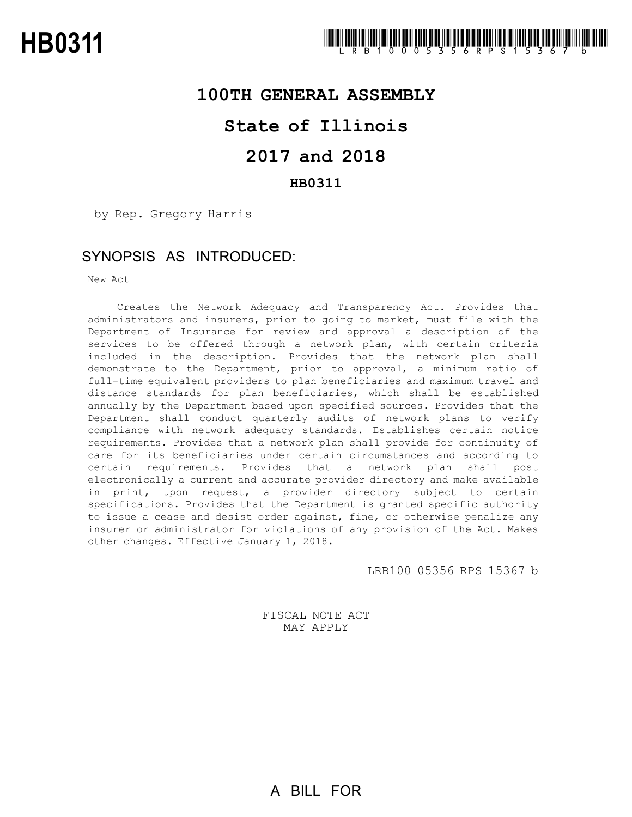

## **100TH GENERAL ASSEMBLY**

# **State of Illinois**

# **2017 and 2018**

### **HB0311**

by Rep. Gregory Harris

## SYNOPSIS AS INTRODUCED:

New Act

Creates the Network Adequacy and Transparency Act. Provides that administrators and insurers, prior to going to market, must file with the Department of Insurance for review and approval a description of the services to be offered through a network plan, with certain criteria included in the description. Provides that the network plan shall demonstrate to the Department, prior to approval, a minimum ratio of full-time equivalent providers to plan beneficiaries and maximum travel and distance standards for plan beneficiaries, which shall be established annually by the Department based upon specified sources. Provides that the Department shall conduct quarterly audits of network plans to verify compliance with network adequacy standards. Establishes certain notice requirements. Provides that a network plan shall provide for continuity of care for its beneficiaries under certain circumstances and according to certain requirements. Provides that a network plan shall post electronically a current and accurate provider directory and make available in print, upon request, a provider directory subject to certain specifications. Provides that the Department is granted specific authority to issue a cease and desist order against, fine, or otherwise penalize any insurer or administrator for violations of any provision of the Act. Makes other changes. Effective January 1, 2018.

LRB100 05356 RPS 15367 b

FISCAL NOTE ACT MAY APPLY

A BILL FOR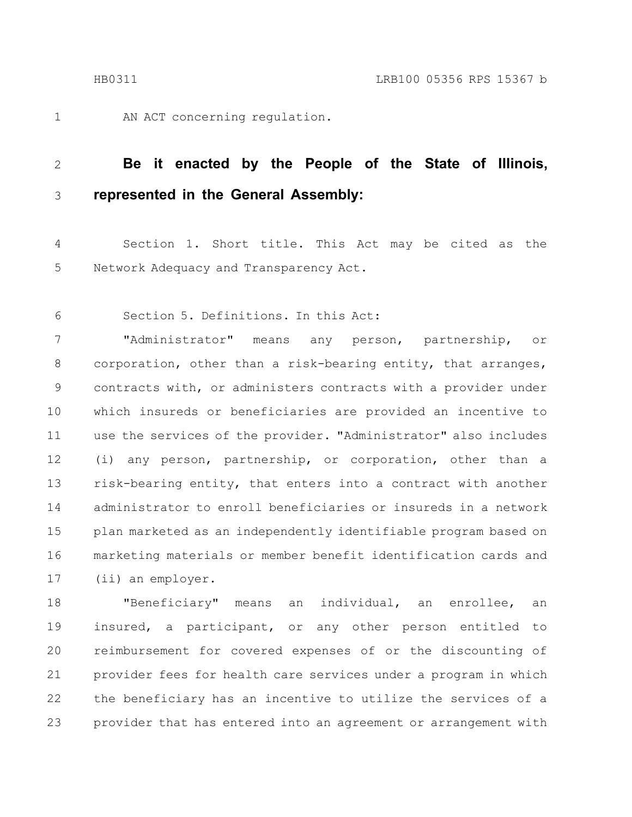AN ACT concerning regulation.

#### **Be it enacted by the People of the State of Illinois, represented in the General Assembly:** 2 3

Section 1. Short title. This Act may be cited as the Network Adequacy and Transparency Act. 4 5

Section 5. Definitions. In this Act: 6

"Administrator" means any person, partnership, or corporation, other than a risk-bearing entity, that arranges, contracts with, or administers contracts with a provider under which insureds or beneficiaries are provided an incentive to use the services of the provider. "Administrator" also includes (i) any person, partnership, or corporation, other than a risk-bearing entity, that enters into a contract with another administrator to enroll beneficiaries or insureds in a network plan marketed as an independently identifiable program based on marketing materials or member benefit identification cards and (ii) an employer. 7 8 9 10 11 12 13 14 15 16 17

"Beneficiary" means an individual, an enrollee, an insured, a participant, or any other person entitled to reimbursement for covered expenses of or the discounting of provider fees for health care services under a program in which the beneficiary has an incentive to utilize the services of a provider that has entered into an agreement or arrangement with 18 19 20 21 22 23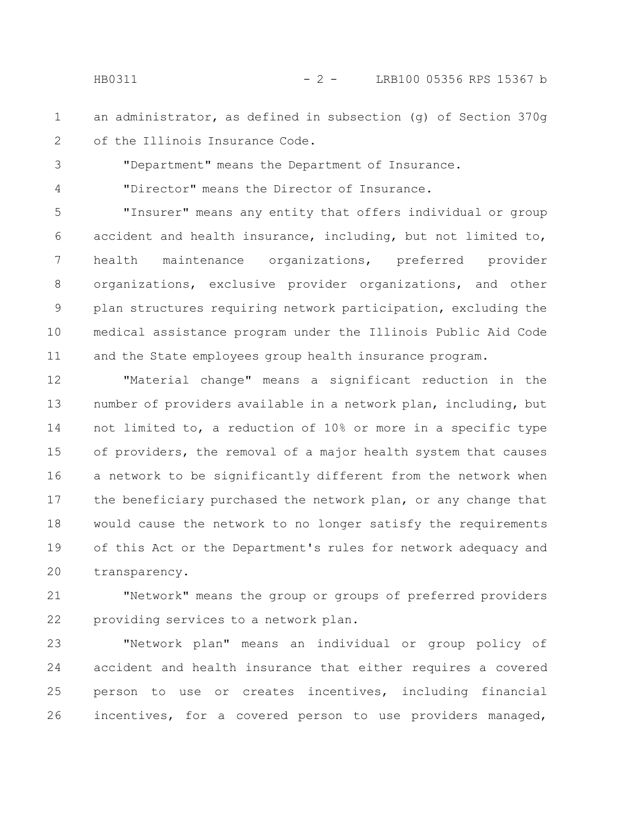HB0311 - 2 - LRB100 05356 RPS 15367 b

an administrator, as defined in subsection (g) of Section 370g of the Illinois Insurance Code. 1 2

"Department" means the Department of Insurance.

"Director" means the Director of Insurance.

"Insurer" means any entity that offers individual or group accident and health insurance, including, but not limited to, health maintenance organizations, preferred provider organizations, exclusive provider organizations, and other plan structures requiring network participation, excluding the medical assistance program under the Illinois Public Aid Code and the State employees group health insurance program. 5 6 7 8 9 10 11

"Material change" means a significant reduction in the number of providers available in a network plan, including, but not limited to, a reduction of 10% or more in a specific type of providers, the removal of a major health system that causes a network to be significantly different from the network when the beneficiary purchased the network plan, or any change that would cause the network to no longer satisfy the requirements of this Act or the Department's rules for network adequacy and transparency. 12 13 14 15 16 17 18 19 20

"Network" means the group or groups of preferred providers providing services to a network plan. 21 22

"Network plan" means an individual or group policy of accident and health insurance that either requires a covered person to use or creates incentives, including financial incentives, for a covered person to use providers managed, 23 24 25 26

3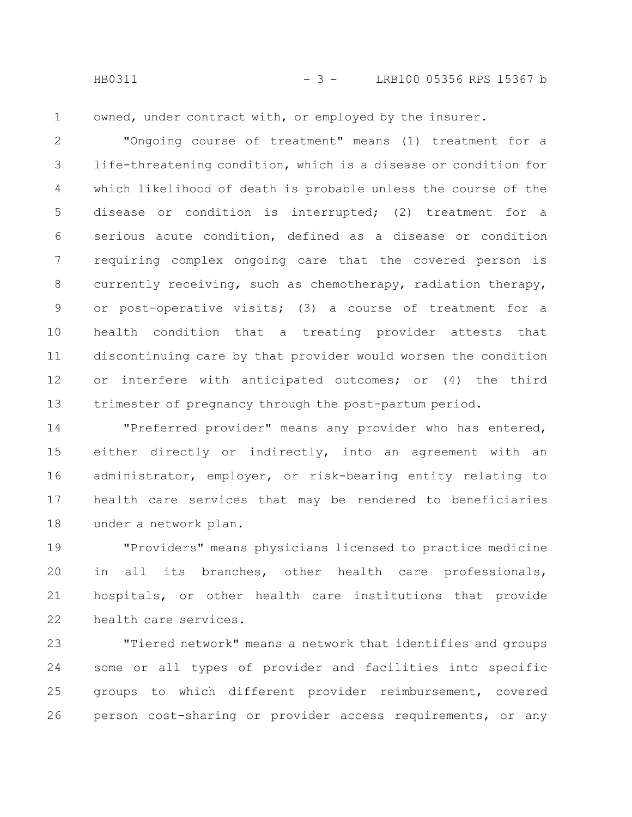HB0311 - 3 - LRB100 05356 RPS 15367 b

1

owned, under contract with, or employed by the insurer.

"Ongoing course of treatment" means (1) treatment for a life-threatening condition, which is a disease or condition for which likelihood of death is probable unless the course of the disease or condition is interrupted; (2) treatment for a serious acute condition, defined as a disease or condition requiring complex ongoing care that the covered person is currently receiving, such as chemotherapy, radiation therapy, or post-operative visits; (3) a course of treatment for a health condition that a treating provider attests that discontinuing care by that provider would worsen the condition or interfere with anticipated outcomes; or (4) the third trimester of pregnancy through the post-partum period. 2 3 4 5 6 7 8 9 10 11 12 13

"Preferred provider" means any provider who has entered, either directly or indirectly, into an agreement with an administrator, employer, or risk-bearing entity relating to health care services that may be rendered to beneficiaries under a network plan. 14 15 16 17 18

"Providers" means physicians licensed to practice medicine in all its branches, other health care professionals, hospitals, or other health care institutions that provide health care services. 19 20 21 22

"Tiered network" means a network that identifies and groups some or all types of provider and facilities into specific groups to which different provider reimbursement, covered person cost-sharing or provider access requirements, or any 23 24 25 26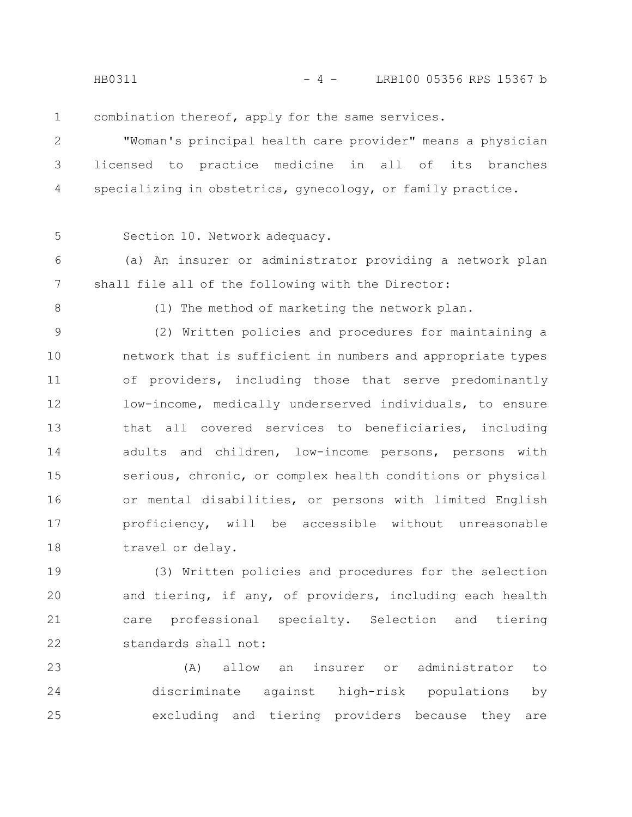HB0311 - 4 - LRB100 05356 RPS 15367 b

combination thereof, apply for the same services. 1

"Woman's principal health care provider" means a physician licensed to practice medicine in all of its branches specializing in obstetrics, gynecology, or family practice. 2 3 4

5

Section 10. Network adequacy.

(a) An insurer or administrator providing a network plan shall file all of the following with the Director: 6 7

8

(1) The method of marketing the network plan.

(2) Written policies and procedures for maintaining a network that is sufficient in numbers and appropriate types of providers, including those that serve predominantly low-income, medically underserved individuals, to ensure that all covered services to beneficiaries, including adults and children, low-income persons, persons with serious, chronic, or complex health conditions or physical or mental disabilities, or persons with limited English proficiency, will be accessible without unreasonable travel or delay. 9 10 11 12 13 14 15 16 17 18

(3) Written policies and procedures for the selection and tiering, if any, of providers, including each health care professional specialty. Selection and tiering standards shall not: 19 20 21 22

(A) allow an insurer or administrator to discriminate against high-risk populations by excluding and tiering providers because they are 23 24 25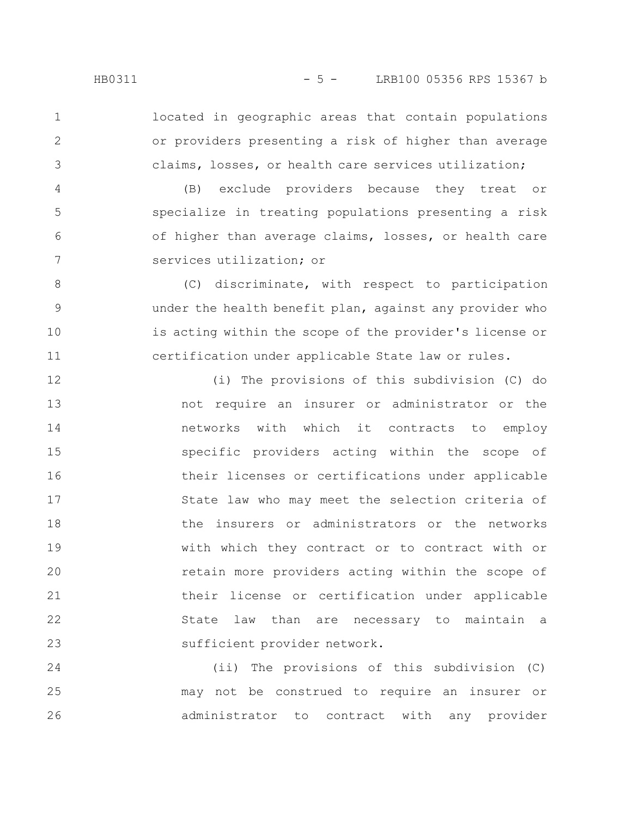located in geographic areas that contain populations or providers presenting a risk of higher than average claims, losses, or health care services utilization; 1 2 3

(B) exclude providers because they treat or specialize in treating populations presenting a risk of higher than average claims, losses, or health care services utilization; or 4 5 6 7

(C) discriminate, with respect to participation under the health benefit plan, against any provider who is acting within the scope of the provider's license or certification under applicable State law or rules. 8 9 10 11

(i) The provisions of this subdivision (C) do not require an insurer or administrator or the networks with which it contracts to employ specific providers acting within the scope of their licenses or certifications under applicable State law who may meet the selection criteria of the insurers or administrators or the networks with which they contract or to contract with or retain more providers acting within the scope of their license or certification under applicable State law than are necessary to maintain a sufficient provider network. 12 13 14 15 16 17 18 19 20 21 22 23

(ii) The provisions of this subdivision (C) may not be construed to require an insurer or administrator to contract with any provider 24 25 26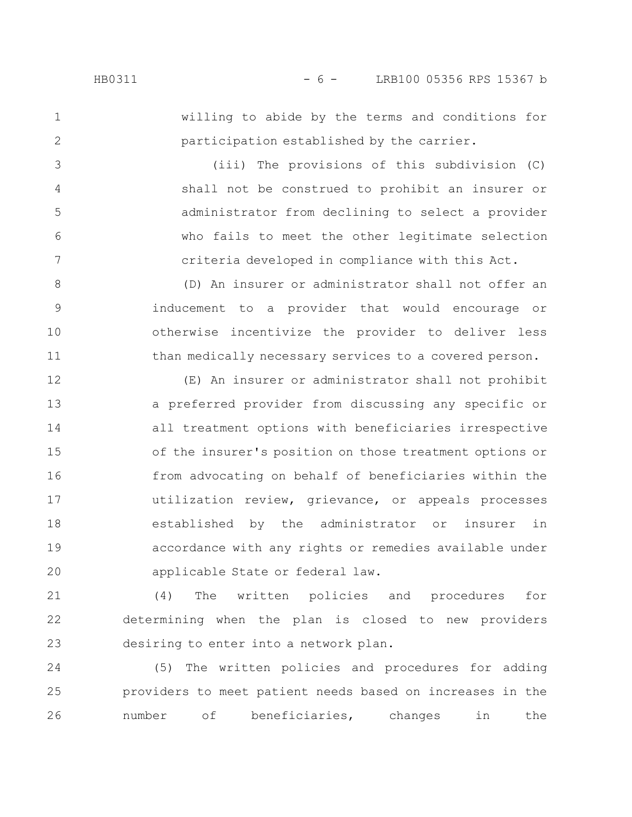2

3

4

5

6

7

willing to abide by the terms and conditions for participation established by the carrier.

(iii) The provisions of this subdivision (C) shall not be construed to prohibit an insurer or administrator from declining to select a provider who fails to meet the other legitimate selection criteria developed in compliance with this Act.

(D) An insurer or administrator shall not offer an inducement to a provider that would encourage or otherwise incentivize the provider to deliver less than medically necessary services to a covered person. 8 9 10 11

(E) An insurer or administrator shall not prohibit a preferred provider from discussing any specific or all treatment options with beneficiaries irrespective of the insurer's position on those treatment options or from advocating on behalf of beneficiaries within the utilization review, grievance, or appeals processes established by the administrator or insurer in accordance with any rights or remedies available under applicable State or federal law. 12 13 14 15 16 17 18 19 20

(4) The written policies and procedures for determining when the plan is closed to new providers desiring to enter into a network plan. 21 22 23

(5) The written policies and procedures for adding providers to meet patient needs based on increases in the number of beneficiaries, changes in the 24 25 26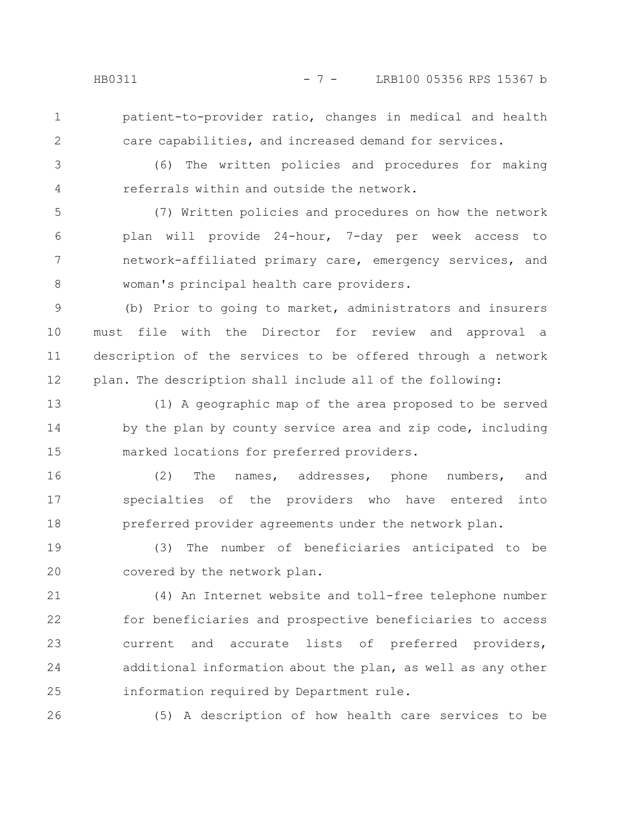2

patient-to-provider ratio, changes in medical and health care capabilities, and increased demand for services.

(6) The written policies and procedures for making referrals within and outside the network. 3 4

(7) Written policies and procedures on how the network plan will provide 24-hour, 7-day per week access to network-affiliated primary care, emergency services, and woman's principal health care providers. 5 6 7 8

(b) Prior to going to market, administrators and insurers must file with the Director for review and approval a description of the services to be offered through a network plan. The description shall include all of the following: 9 10 11 12

(1) A geographic map of the area proposed to be served by the plan by county service area and zip code, including marked locations for preferred providers. 13 14 15

(2) The names, addresses, phone numbers, and specialties of the providers who have entered into preferred provider agreements under the network plan. 16 17 18

(3) The number of beneficiaries anticipated to be covered by the network plan. 19 20

(4) An Internet website and toll-free telephone number for beneficiaries and prospective beneficiaries to access current and accurate lists of preferred providers, additional information about the plan, as well as any other information required by Department rule. 21 22 23 24 25

26

(5) A description of how health care services to be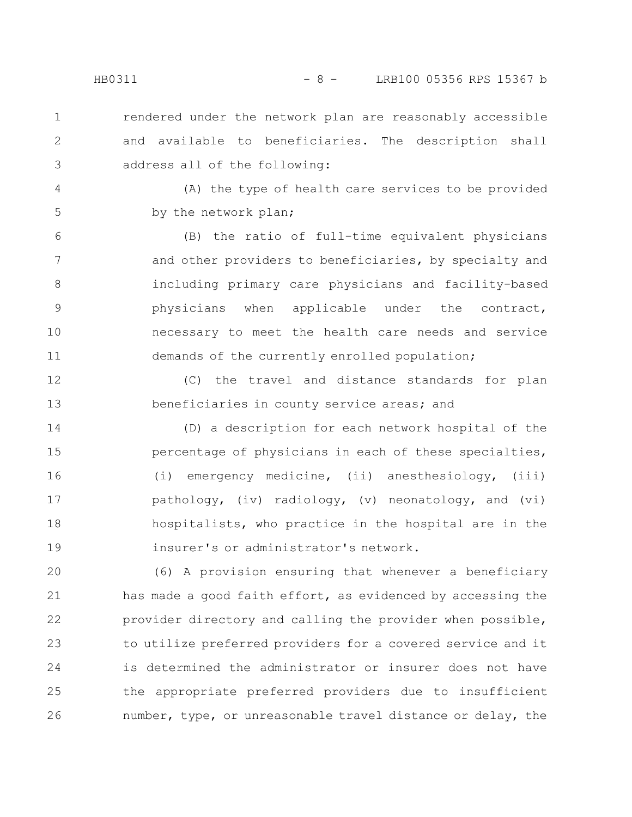rendered under the network plan are reasonably accessible and available to beneficiaries. The description shall address all of the following: 1 2 3

4

5

(A) the type of health care services to be provided by the network plan;

(B) the ratio of full-time equivalent physicians and other providers to beneficiaries, by specialty and including primary care physicians and facility-based physicians when applicable under the contract, necessary to meet the health care needs and service demands of the currently enrolled population; 6 7 8 9 10 11

(C) the travel and distance standards for plan beneficiaries in county service areas; and 12 13

(D) a description for each network hospital of the percentage of physicians in each of these specialties, (i) emergency medicine, (ii) anesthesiology, (iii) pathology, (iv) radiology, (v) neonatology, and (vi) hospitalists, who practice in the hospital are in the insurer's or administrator's network. 14 15 16 17 18 19

(6) A provision ensuring that whenever a beneficiary has made a good faith effort, as evidenced by accessing the provider directory and calling the provider when possible, to utilize preferred providers for a covered service and it is determined the administrator or insurer does not have the appropriate preferred providers due to insufficient number, type, or unreasonable travel distance or delay, the 20 21 22 23 24 25 26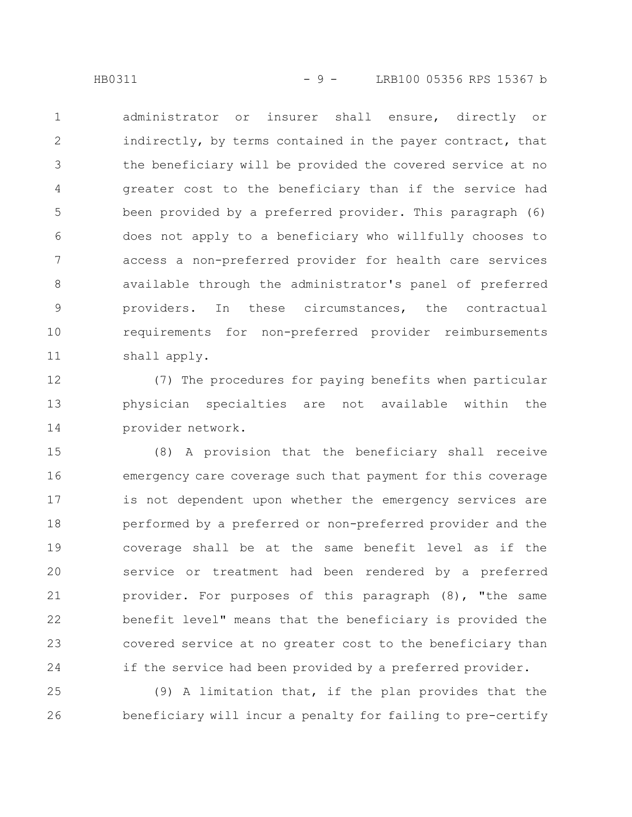administrator or insurer shall ensure, directly or indirectly, by terms contained in the payer contract, that the beneficiary will be provided the covered service at no greater cost to the beneficiary than if the service had been provided by a preferred provider. This paragraph (6) does not apply to a beneficiary who willfully chooses to access a non-preferred provider for health care services available through the administrator's panel of preferred providers. In these circumstances, the contractual requirements for non-preferred provider reimbursements shall apply. 1 2 3 4 5 6 7 8 9 10 11

(7) The procedures for paying benefits when particular physician specialties are not available within the provider network. 12 13 14

(8) A provision that the beneficiary shall receive emergency care coverage such that payment for this coverage is not dependent upon whether the emergency services are performed by a preferred or non-preferred provider and the coverage shall be at the same benefit level as if the service or treatment had been rendered by a preferred provider. For purposes of this paragraph (8), "the same benefit level" means that the beneficiary is provided the covered service at no greater cost to the beneficiary than if the service had been provided by a preferred provider. 15 16 17 18 19 20 21 22 23 24

(9) A limitation that, if the plan provides that the beneficiary will incur a penalty for failing to pre-certify 25 26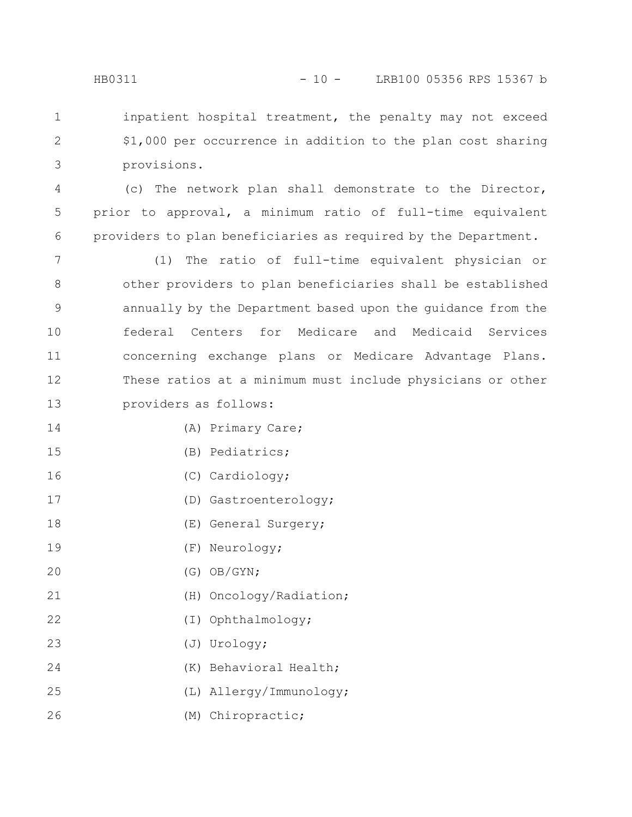inpatient hospital treatment, the penalty may not exceed \$1,000 per occurrence in addition to the plan cost sharing provisions. 1 2 3

(c) The network plan shall demonstrate to the Director, prior to approval, a minimum ratio of full-time equivalent providers to plan beneficiaries as required by the Department. 4 5 6

(1) The ratio of full-time equivalent physician or other providers to plan beneficiaries shall be established annually by the Department based upon the guidance from the federal Centers for Medicare and Medicaid Services concerning exchange plans or Medicare Advantage Plans. These ratios at a minimum must include physicians or other providers as follows: 7 8 9 10 11 12 13

- (A) Primary Care; 14
- (B) Pediatrics; 15
- (C) Cardiology; 16
- (D) Gastroenterology; 17
- (E) General Surgery; 18
- (F) Neurology; 19
- (G) OB/GYN; 20
- (H) Oncology/Radiation; 21
- (I) Ophthalmology; 22
- (J) Urology; 23
- (K) Behavioral Health; 24
- (L) Allergy/Immunology; 25
- (M) Chiropractic; 26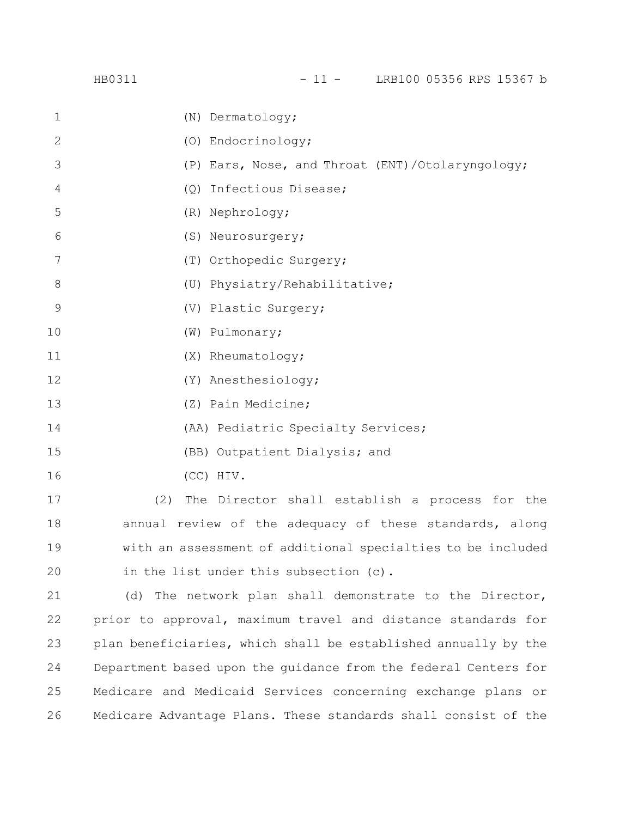|             | HB0311                                                      |                                                  |  | $-11 -$ | LRB100 05356 RPS 15367 b |  |  |
|-------------|-------------------------------------------------------------|--------------------------------------------------|--|---------|--------------------------|--|--|
| $\mathbf 1$ |                                                             | (N) Dermatology;                                 |  |         |                          |  |  |
| 2           |                                                             | (O) Endocrinology;                               |  |         |                          |  |  |
| 3           |                                                             | (P) Ears, Nose, and Throat (ENT)/Otolaryngology; |  |         |                          |  |  |
| 4           |                                                             | (Q) Infectious Disease;                          |  |         |                          |  |  |
| 5           |                                                             | (R) Nephrology;                                  |  |         |                          |  |  |
| 6           |                                                             | (S) Neurosurgery;                                |  |         |                          |  |  |
| 7           |                                                             | (T) Orthopedic Surgery;                          |  |         |                          |  |  |
| 8           |                                                             | (U) Physiatry/Rehabilitative;                    |  |         |                          |  |  |
| $\mathsf 9$ |                                                             | (V) Plastic Surgery;                             |  |         |                          |  |  |
| 10          |                                                             | (W) Pulmonary;                                   |  |         |                          |  |  |
| 11          |                                                             | (X) Rheumatology;                                |  |         |                          |  |  |
| 12          |                                                             | (Y) Anesthesiology;                              |  |         |                          |  |  |
| 13          |                                                             | (Z) Pain Medicine;                               |  |         |                          |  |  |
| 14          |                                                             | (AA) Pediatric Specialty Services;               |  |         |                          |  |  |
| 15          |                                                             | (BB) Outpatient Dialysis; and                    |  |         |                          |  |  |
| 16          |                                                             | (CC) HIV.                                        |  |         |                          |  |  |
| 17          | (2)                                                         | The Director shall establish a process for the   |  |         |                          |  |  |
| 18          | annual review of the adequacy of these standards, along     |                                                  |  |         |                          |  |  |
| 19          | with an assessment of additional specialties to be included |                                                  |  |         |                          |  |  |

in the list under this subsection (c). 20

(d) The network plan shall demonstrate to the Director, prior to approval, maximum travel and distance standards for plan beneficiaries, which shall be established annually by the Department based upon the guidance from the federal Centers for Medicare and Medicaid Services concerning exchange plans or Medicare Advantage Plans. These standards shall consist of the 21 22 23 24 25 26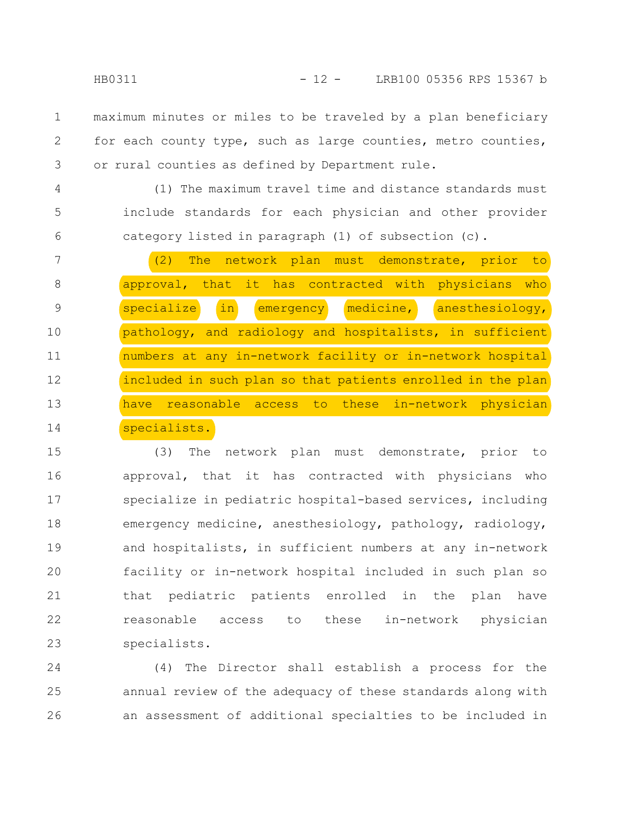maximum minutes or miles to be traveled by a plan beneficiary for each county type, such as large counties, metro counties, or rural counties as defined by Department rule. 1 2 3

(1) The maximum travel time and distance standards must include standards for each physician and other provider category listed in paragraph (1) of subsection (c).

|    | (2) The network plan must demonstrate, prior to                  |
|----|------------------------------------------------------------------|
| 8  | approval, that it has contracted with physicians<br>who          |
| 9  | $\ln$<br>specialize<br>medicine,<br>anesthesiology,<br>emergency |
| 10 | pathology, and radiology and hospitalists, in sufficient         |
| 11 | numbers at any in-network facility or in-network hospital        |
| 12 | included in such plan so that patients enrolled in the plan      |
| 13 | have reasonable access to these in-network physician             |
| 14 | specialists.                                                     |

(3) The network plan must demonstrate, prior to approval, that it has contracted with physicians who specialize in pediatric hospital-based services, including emergency medicine, anesthesiology, pathology, radiology, and hospitalists, in sufficient numbers at any in-network facility or in-network hospital included in such plan so that pediatric patients enrolled in the plan have reasonable access to these in-network physician specialists. 15 16 17 18 19 20 21 22 23

(4) The Director shall establish a process for the annual review of the adequacy of these standards along with an assessment of additional specialties to be included in 24 25 26

4

5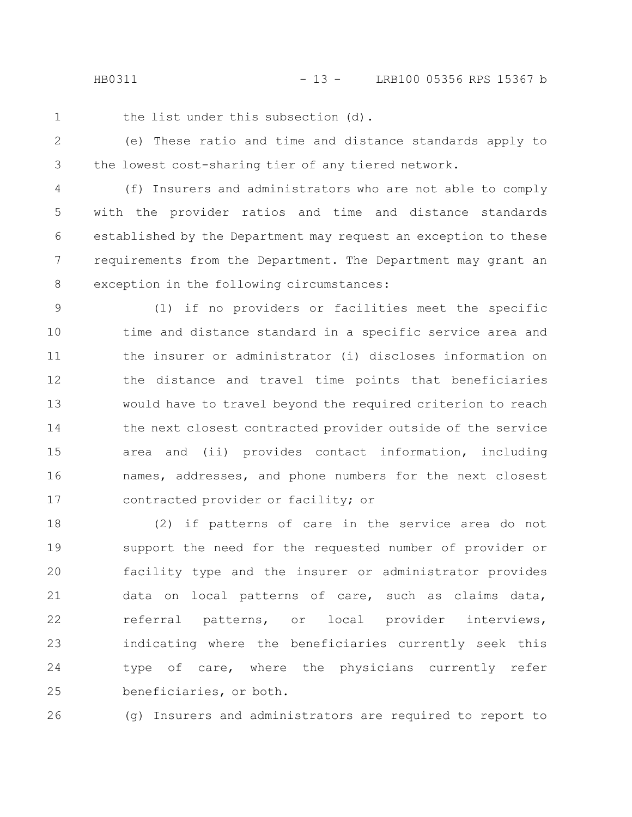the list under this subsection (d).

(e) These ratio and time and distance standards apply to the lowest cost-sharing tier of any tiered network. 2 3

(f) Insurers and administrators who are not able to comply with the provider ratios and time and distance standards established by the Department may request an exception to these requirements from the Department. The Department may grant an exception in the following circumstances: 4 5 6 7 8

(1) if no providers or facilities meet the specific time and distance standard in a specific service area and the insurer or administrator (i) discloses information on the distance and travel time points that beneficiaries would have to travel beyond the required criterion to reach the next closest contracted provider outside of the service area and (ii) provides contact information, including names, addresses, and phone numbers for the next closest contracted provider or facility; or 9 10 11 12 13 14 15 16 17

(2) if patterns of care in the service area do not support the need for the requested number of provider or facility type and the insurer or administrator provides data on local patterns of care, such as claims data, referral patterns, or local provider interviews, indicating where the beneficiaries currently seek this type of care, where the physicians currently refer beneficiaries, or both. 18 19 20 21 22 23 24 25

(g) Insurers and administrators are required to report to 26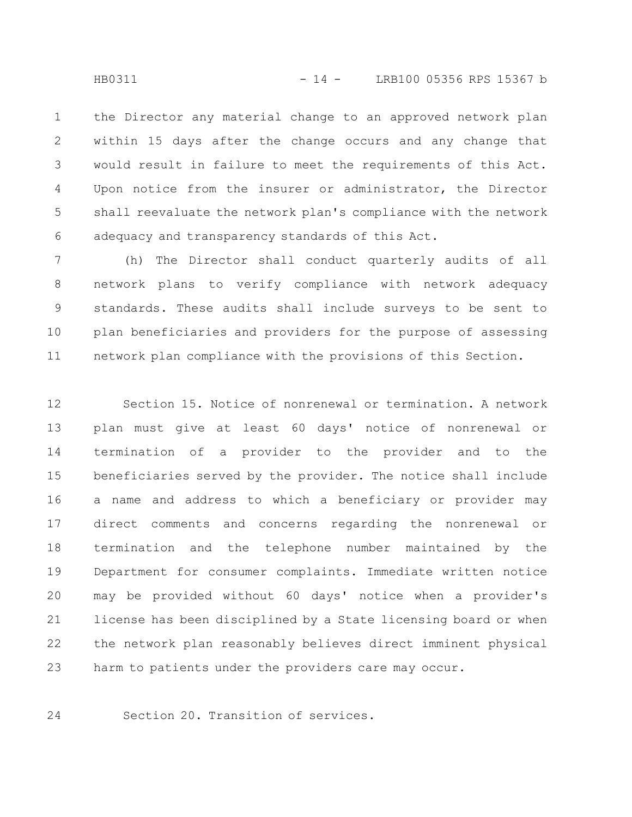the Director any material change to an approved network plan within 15 days after the change occurs and any change that would result in failure to meet the requirements of this Act. Upon notice from the insurer or administrator, the Director shall reevaluate the network plan's compliance with the network adequacy and transparency standards of this Act. 1 2 3 4 5 6

(h) The Director shall conduct quarterly audits of all network plans to verify compliance with network adequacy standards. These audits shall include surveys to be sent to plan beneficiaries and providers for the purpose of assessing network plan compliance with the provisions of this Section. 7 8 9 10 11

Section 15. Notice of nonrenewal or termination. A network plan must give at least 60 days' notice of nonrenewal or termination of a provider to the provider and to the beneficiaries served by the provider. The notice shall include a name and address to which a beneficiary or provider may direct comments and concerns regarding the nonrenewal or termination and the telephone number maintained by the Department for consumer complaints. Immediate written notice may be provided without 60 days' notice when a provider's license has been disciplined by a State licensing board or when the network plan reasonably believes direct imminent physical harm to patients under the providers care may occur. 12 13 14 15 16 17 18 19 20 21 22 23

Section 20. Transition of services.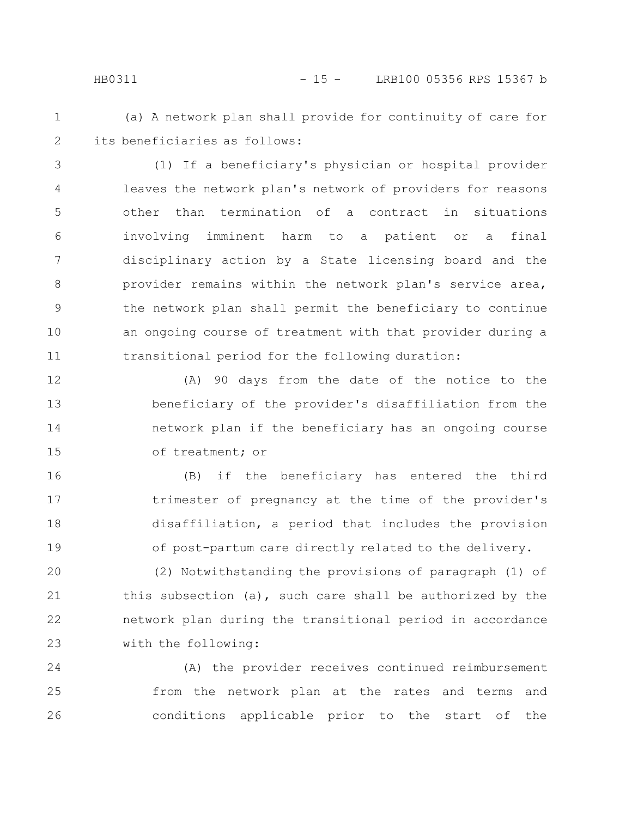### HB0311 - 15 - LRB100 05356 RPS 15367 b

1 2

(a) A network plan shall provide for continuity of care for its beneficiaries as follows:

(1) If a beneficiary's physician or hospital provider leaves the network plan's network of providers for reasons other than termination of a contract in situations involving imminent harm to a patient or a final disciplinary action by a State licensing board and the provider remains within the network plan's service area, the network plan shall permit the beneficiary to continue an ongoing course of treatment with that provider during a transitional period for the following duration: 3 4 5 6 7 8 9 10 11

(A) 90 days from the date of the notice to the beneficiary of the provider's disaffiliation from the network plan if the beneficiary has an ongoing course of treatment; or 12 13 14 15

(B) if the beneficiary has entered the third trimester of pregnancy at the time of the provider's disaffiliation, a period that includes the provision of post-partum care directly related to the delivery. 16 17 18 19

(2) Notwithstanding the provisions of paragraph (1) of this subsection (a), such care shall be authorized by the network plan during the transitional period in accordance with the following: 20 21 22 23

(A) the provider receives continued reimbursement from the network plan at the rates and terms and conditions applicable prior to the start of the 24 25 26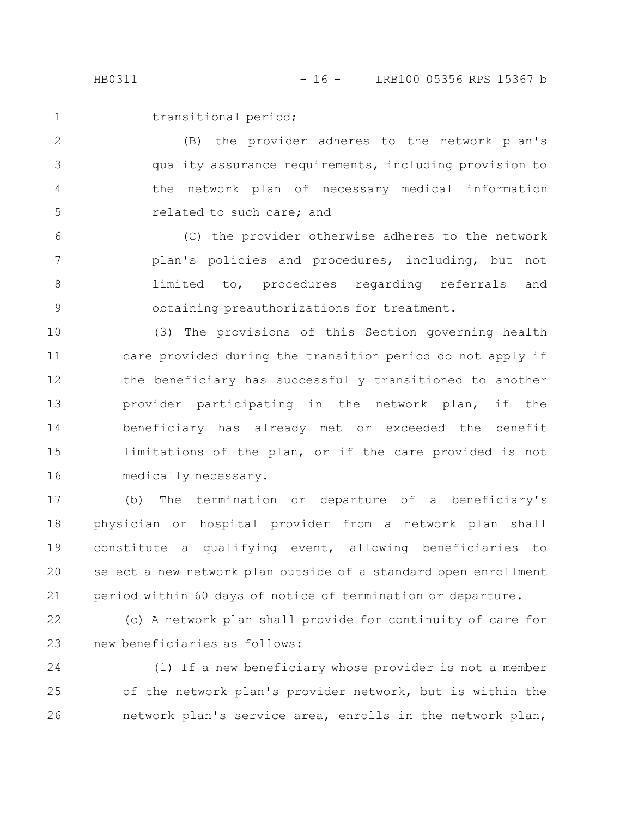transitional period;

(B) the provider adheres to the network plan's quality assurance requirements, including provision to the network plan of necessary medical information related to such care; and 2 3 4 5

(C) the provider otherwise adheres to the network plan's policies and procedures, including, but not limited to, procedures regarding referrals and obtaining preauthorizations for treatment. 6 7 8 9

(3) The provisions of this Section governing health care provided during the transition period do not apply if the beneficiary has successfully transitioned to another provider participating in the network plan, if the beneficiary has already met or exceeded the benefit limitations of the plan, or if the care provided is not medically necessary. 10 11 12 13 14 15 16

(b) The termination or departure of a beneficiary's physician or hospital provider from a network plan shall constitute a qualifying event, allowing beneficiaries to select a new network plan outside of a standard open enrollment period within 60 days of notice of termination or departure. 17 18 19 20 21

22

23

(c) A network plan shall provide for continuity of care for new beneficiaries as follows:

(1) If a new beneficiary whose provider is not a member of the network plan's provider network, but is within the network plan's service area, enrolls in the network plan, 24 25 26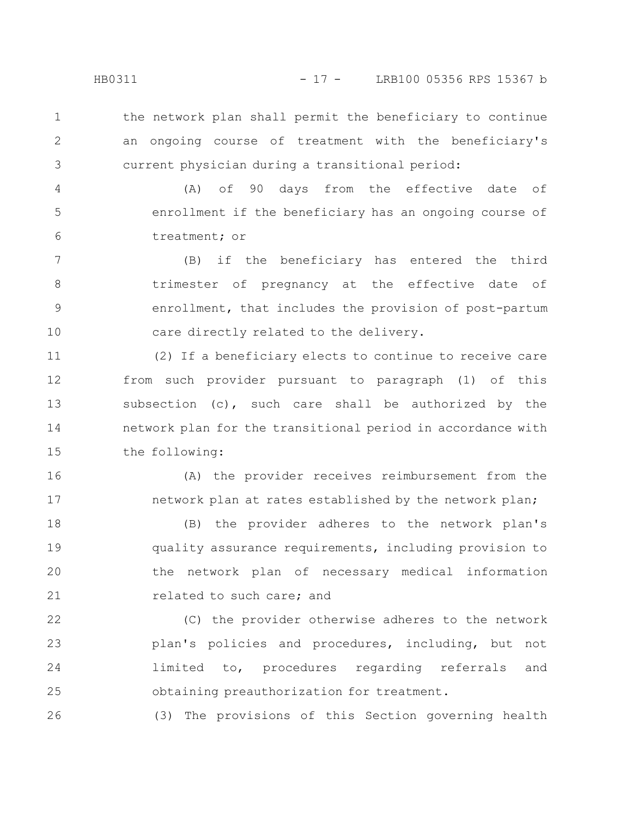the network plan shall permit the beneficiary to continue an ongoing course of treatment with the beneficiary's current physician during a transitional period: 1 2 3

(A) of 90 days from the effective date of enrollment if the beneficiary has an ongoing course of treatment; or 4 5 6

(B) if the beneficiary has entered the third trimester of pregnancy at the effective date of enrollment, that includes the provision of post-partum care directly related to the delivery. 7 8 9 10

(2) If a beneficiary elects to continue to receive care from such provider pursuant to paragraph (1) of this subsection (c), such care shall be authorized by the network plan for the transitional period in accordance with the following: 11 12 13 14 15

(A) the provider receives reimbursement from the network plan at rates established by the network plan;

(B) the provider adheres to the network plan's quality assurance requirements, including provision to the network plan of necessary medical information related to such care; and 18 19 20 21

(C) the provider otherwise adheres to the network plan's policies and procedures, including, but not limited to, procedures regarding referrals and obtaining preauthorization for treatment. 22 23 24 25

(3) The provisions of this Section governing health

16

17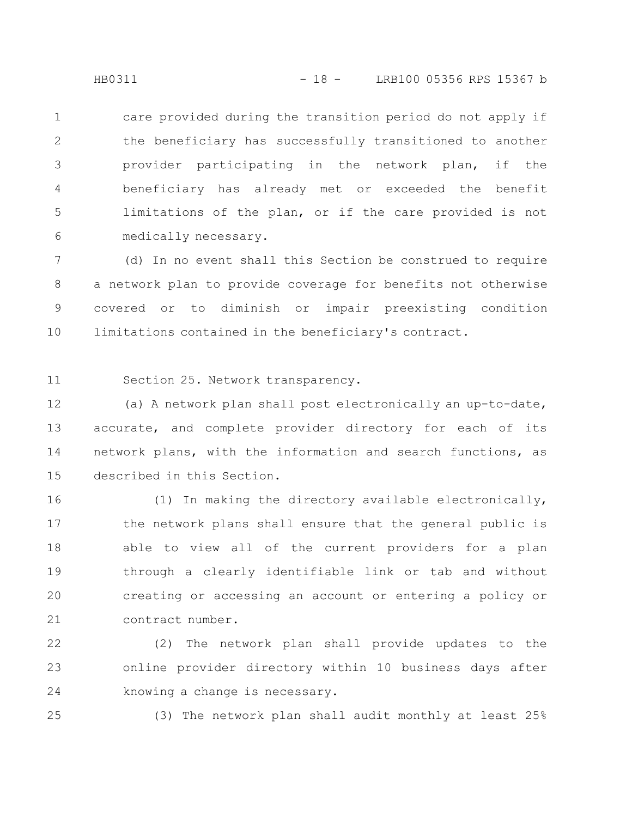care provided during the transition period do not apply if the beneficiary has successfully transitioned to another provider participating in the network plan, if the beneficiary has already met or exceeded the benefit limitations of the plan, or if the care provided is not medically necessary. 1 2 3 4 5 6

(d) In no event shall this Section be construed to require a network plan to provide coverage for benefits not otherwise covered or to diminish or impair preexisting condition limitations contained in the beneficiary's contract. 7 8 9 10

Section 25. Network transparency. 11

(a) A network plan shall post electronically an up-to-date, accurate, and complete provider directory for each of its network plans, with the information and search functions, as described in this Section. 12 13 14 15

(1) In making the directory available electronically, the network plans shall ensure that the general public is able to view all of the current providers for a plan through a clearly identifiable link or tab and without creating or accessing an account or entering a policy or contract number. 16 17 18 19 20 21

(2) The network plan shall provide updates to the online provider directory within 10 business days after knowing a change is necessary. 22 23 24

25

(3) The network plan shall audit monthly at least 25%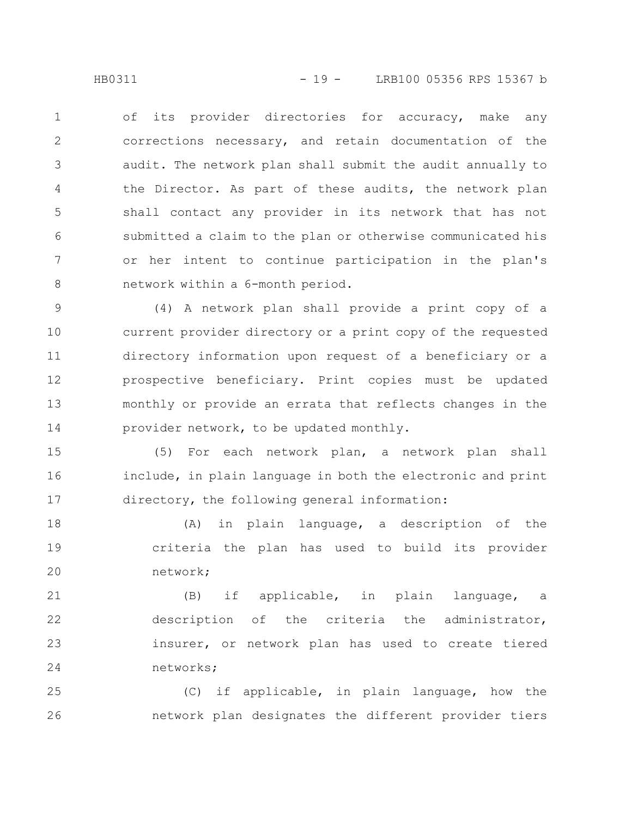of its provider directories for accuracy, make any corrections necessary, and retain documentation of the audit. The network plan shall submit the audit annually to the Director. As part of these audits, the network plan shall contact any provider in its network that has not submitted a claim to the plan or otherwise communicated his or her intent to continue participation in the plan's network within a 6-month period. 1 2 3 4 5 6 7 8

(4) A network plan shall provide a print copy of a current provider directory or a print copy of the requested directory information upon request of a beneficiary or a prospective beneficiary. Print copies must be updated monthly or provide an errata that reflects changes in the provider network, to be updated monthly. 9 10 11 12 13 14

(5) For each network plan, a network plan shall include, in plain language in both the electronic and print directory, the following general information: 15 16 17

(A) in plain language, a description of the criteria the plan has used to build its provider network; 18 19 20

(B) if applicable, in plain language, a description of the criteria the administrator, insurer, or network plan has used to create tiered networks; 21 22 23 24

(C) if applicable, in plain language, how the network plan designates the different provider tiers 25 26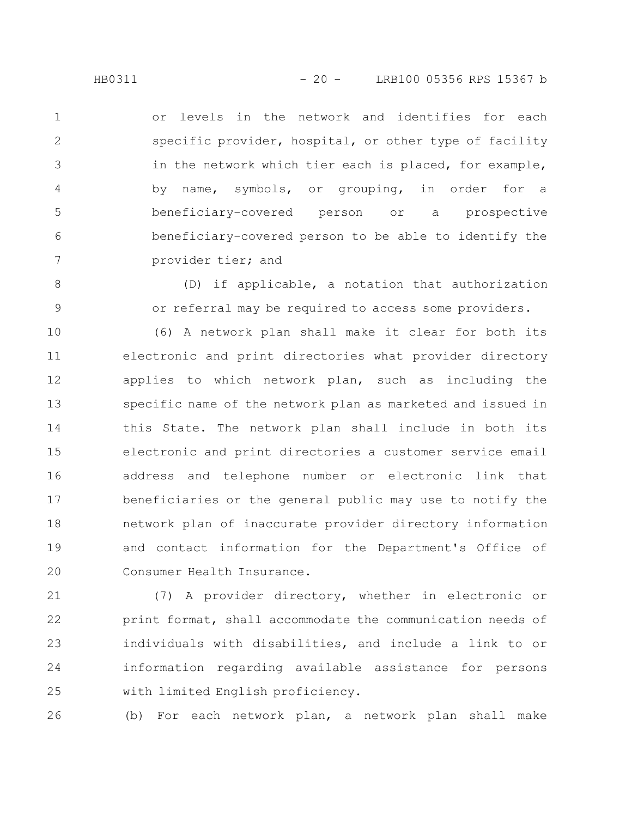or levels in the network and identifies for each specific provider, hospital, or other type of facility in the network which tier each is placed, for example, by name, symbols, or grouping, in order for a beneficiary-covered person or a prospective beneficiary-covered person to be able to identify the provider tier; and 1 2 3 4 5 6 7

> (D) if applicable, a notation that authorization or referral may be required to access some providers.

(6) A network plan shall make it clear for both its electronic and print directories what provider directory applies to which network plan, such as including the specific name of the network plan as marketed and issued in this State. The network plan shall include in both its electronic and print directories a customer service email address and telephone number or electronic link that beneficiaries or the general public may use to notify the network plan of inaccurate provider directory information and contact information for the Department's Office of Consumer Health Insurance. 10 11 12 13 14 15 16 17 18 19 20

(7) A provider directory, whether in electronic or print format, shall accommodate the communication needs of individuals with disabilities, and include a link to or information regarding available assistance for persons with limited English proficiency. 21 22 23 24 25

(b) For each network plan, a network plan shall make 26

8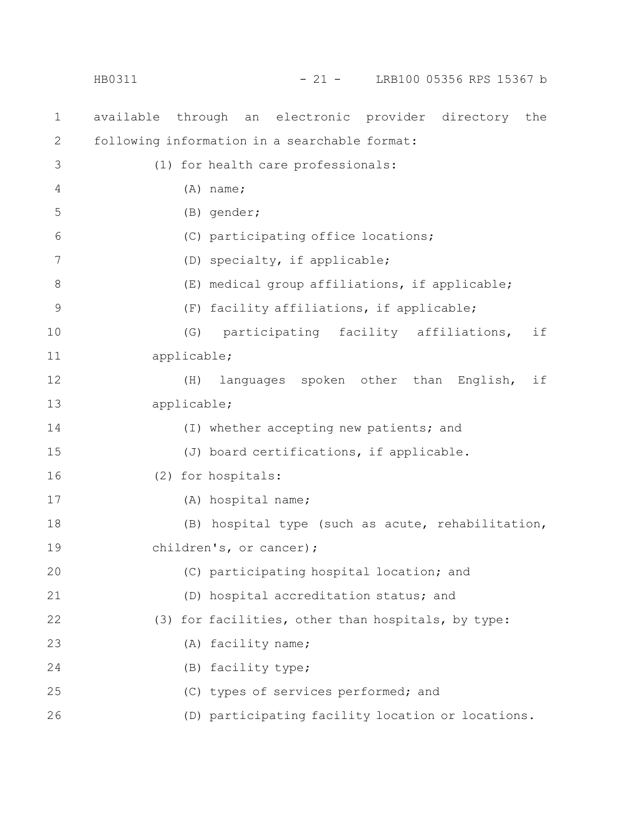available through an electronic provider directory the following information in a searchable format: (1) for health care professionals: (A) name; (B) gender; (C) participating office locations; (D) specialty, if applicable; (E) medical group affiliations, if applicable; (F) facility affiliations, if applicable; (G) participating facility affiliations, if applicable; (H) languages spoken other than English, if applicable; (I) whether accepting new patients; and (J) board certifications, if applicable. (2) for hospitals: (A) hospital name; (B) hospital type (such as acute, rehabilitation, children's, or cancer); (C) participating hospital location; and (D) hospital accreditation status; and (3) for facilities, other than hospitals, by type: (A) facility name; (B) facility type; (C) types of services performed; and (D) participating facility location or locations. 1 2 3 4 5 6 7 8 9 10 11 12 13 14 15 16 17 18 19 20 21 22 23 24 25 26 HB0311 - 21 - LRB100 05356 RPS 15367 b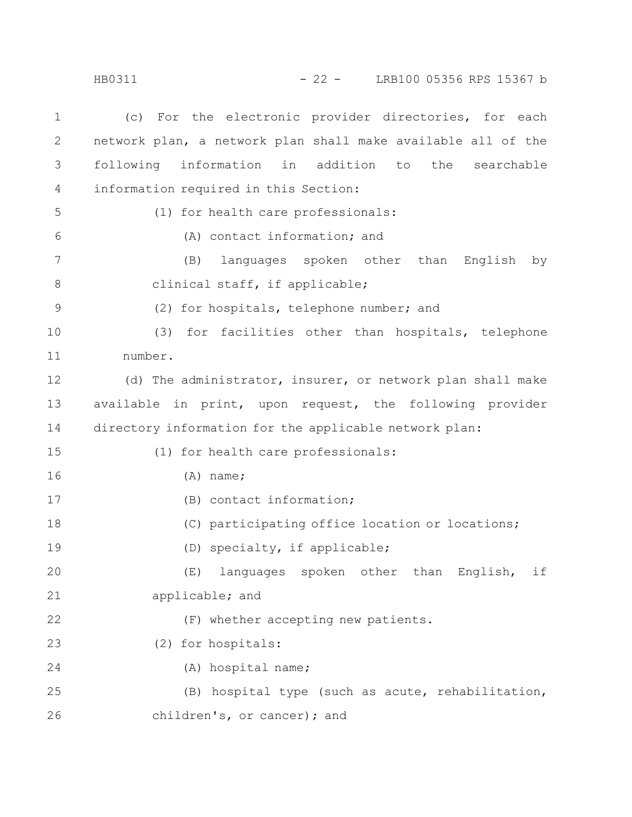(c) For the electronic provider directories, for each network plan, a network plan shall make available all of the following information in addition to the searchable information required in this Section: (1) for health care professionals: (A) contact information; and (B) languages spoken other than English by clinical staff, if applicable; (2) for hospitals, telephone number; and (3) for facilities other than hospitals, telephone number. (d) The administrator, insurer, or network plan shall make available in print, upon request, the following provider directory information for the applicable network plan: (1) for health care professionals: (A) name; (B) contact information; (C) participating office location or locations; (D) specialty, if applicable; (E) languages spoken other than English, if applicable; and (F) whether accepting new patients. (2) for hospitals: (A) hospital name; (B) hospital type (such as acute, rehabilitation, children's, or cancer); and 1 2 3 4 5 6 7 8 9 10 11 12 13 14 15 16 17 18 19 20 21 22 23 24 25 26 HB0311 - 22 - LRB100 05356 RPS 15367 b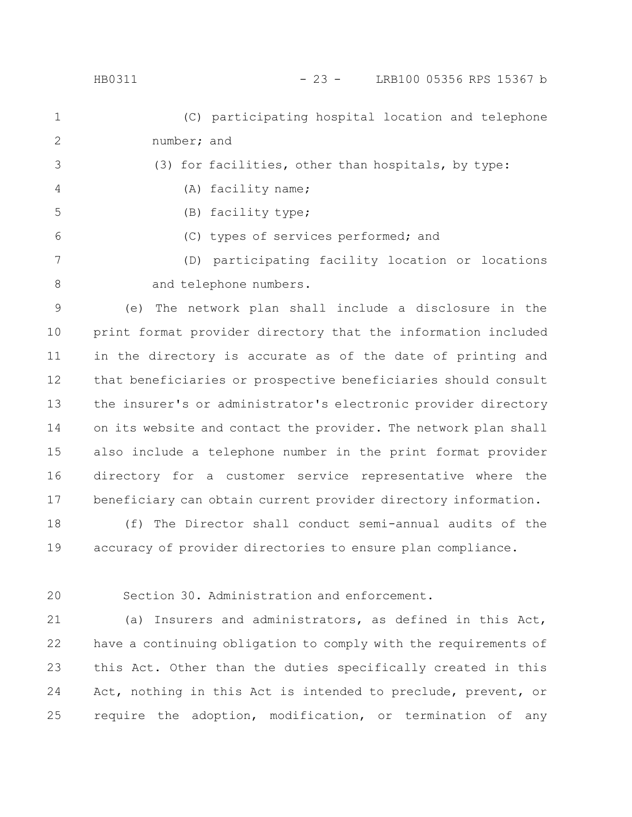| HB0311 | LRB100 05356 RPS 15367 b |  |
|--------|--------------------------|--|
|        |                          |  |

(C) participating hospital location and telephone number; and (3) for facilities, other than hospitals, by type: (A) facility name; (B) facility type; (C) types of services performed; and (D) participating facility location or locations and telephone numbers. 1 2 3 4 5 6 7 8

(e) The network plan shall include a disclosure in the print format provider directory that the information included in the directory is accurate as of the date of printing and that beneficiaries or prospective beneficiaries should consult the insurer's or administrator's electronic provider directory on its website and contact the provider. The network plan shall also include a telephone number in the print format provider directory for a customer service representative where the beneficiary can obtain current provider directory information. 9 10 11 12 13 14 15 16 17

(f) The Director shall conduct semi-annual audits of the accuracy of provider directories to ensure plan compliance. 18 19

20

Section 30. Administration and enforcement.

(a) Insurers and administrators, as defined in this Act, have a continuing obligation to comply with the requirements of this Act. Other than the duties specifically created in this Act, nothing in this Act is intended to preclude, prevent, or require the adoption, modification, or termination of any 21 22 23 24 25